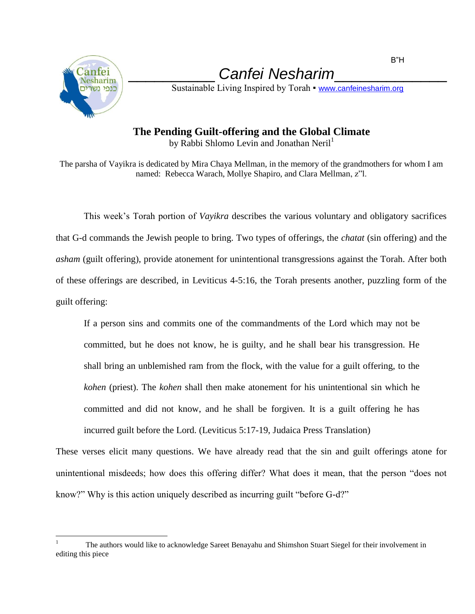

 $\overline{a}$ 

\_\_\_\_\_\_\_\_\_\_ *Canfei Nesharim*\_\_\_\_\_\_\_\_\_\_\_\_\_

Sustainable Living Inspired by Torah • [www.canfeinesharim.org](http://www.canfeinesharim.org/)

## **The Pending Guilt-offering and the Global Climate**

by Rabbi Shlomo Levin and Jonathan Neril<sup>1</sup>

The parsha of Vayikra is dedicated by Mira Chaya Mellman, in the memory of the grandmothers for whom I am named: Rebecca Warach, Mollye Shapiro, and Clara Mellman, z"l.

This week's Torah portion of *Vayikra* describes the various voluntary and obligatory sacrifices that G-d commands the Jewish people to bring. Two types of offerings, the *chatat* (sin offering) and the *asham* (guilt offering), provide atonement for unintentional transgressions against the Torah. After both of these offerings are described, in Leviticus 4-5:16, the Torah presents another, puzzling form of the guilt offering:

If a person sins and commits one of the commandments of the Lord which may not be committed, but he does not know, he is guilty, and he shall bear his transgression. He shall bring an unblemished ram from the flock, with the value for a guilt offering, to the *kohen* (priest). The *kohen* shall then make atonement for his unintentional sin which he committed and did not know, and he shall be forgiven. It is a guilt offering he has incurred guilt before the Lord. (Leviticus 5:17-19, Judaica Press Translation)

These verses elicit many questions. We have already read that the sin and guilt offerings atone for unintentional misdeeds; how does this offering differ? What does it mean, that the person "does not know?" Why is this action uniquely described as incurring guilt "before G-d?"

The authors would like to acknowledge Sareet Benayahu and Shimshon Stuart Siegel for their involvement in editing this piece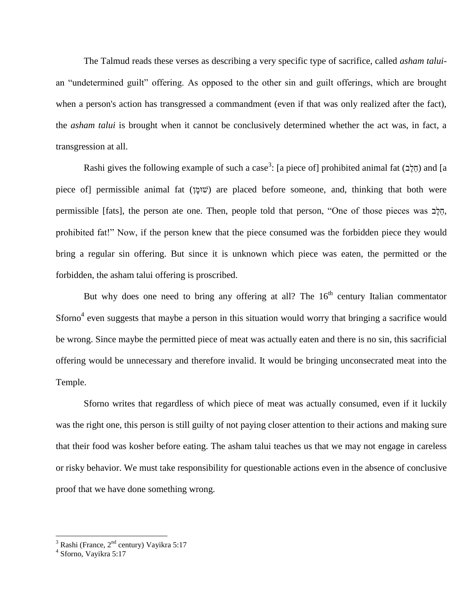The Talmud reads these verses as describing a very specific type of sacrifice, called *asham talui*an "undetermined guilt" offering. As opposed to the other sin and guilt offerings, which are brought when a person's action has transgressed a commandment (even if that was only realized after the fact), the *asham talui* is brought when it cannot be conclusively determined whether the act was, in fact, a transgression at all.

Rashi gives the following example of such a case<sup>3</sup>: [a piece of] prohibited animal fat (חֱלֶב) and [a piece of permissible animal fat (שומן) are placed before someone, and, thinking that both were permissible [fats], the person ate one. Then, people told that person, "One of those pieces was בֶלֵח, prohibited fat!" Now, if the person knew that the piece consumed was the forbidden piece they would bring a regular sin offering. But since it is unknown which piece was eaten, the permitted or the forbidden, the asham talui offering is proscribed.

But why does one need to bring any offering at all? The  $16<sup>th</sup>$  century Italian commentator Sforno<sup>4</sup> even suggests that maybe a person in this situation would worry that bringing a sacrifice would be wrong. Since maybe the permitted piece of meat was actually eaten and there is no sin, this sacrificial offering would be unnecessary and therefore invalid. It would be bringing unconsecrated meat into the Temple.

Sforno writes that regardless of which piece of meat was actually consumed, even if it luckily was the right one, this person is still guilty of not paying closer attention to their actions and making sure that their food was kosher before eating. The asham talui teaches us that we may not engage in careless or risky behavior. We must take responsibility for questionable actions even in the absence of conclusive proof that we have done something wrong.

 $\overline{a}$ 

 $^3$  Rashi (France, 2<sup>nd</sup> century) Vayikra 5:17<br><sup>4</sup> Sforno, Vayikra 5:17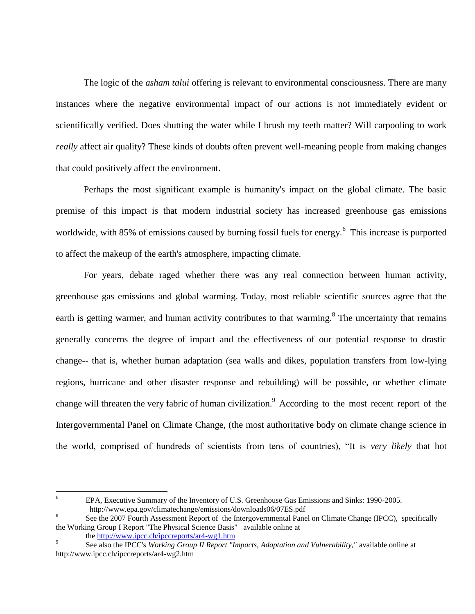The logic of the *asham talui* offering is relevant to environmental consciousness. There are many instances where the negative environmental impact of our actions is not immediately evident or scientifically verified. Does shutting the water while I brush my teeth matter? Will carpooling to work *really* affect air quality? These kinds of doubts often prevent well-meaning people from making changes that could positively affect the environment.

Perhaps the most significant example is humanity's impact on the global climate. The basic premise of this impact is that modern industrial society has increased greenhouse gas emissions worldwide, with 85% of emissions caused by burning fossil fuels for energy.<sup>6</sup> This increase is purported to affect the makeup of the earth's atmosphere, impacting climate.

For years, debate raged whether there was any real connection between human activity, greenhouse gas emissions and global warming. Today, most reliable scientific sources agree that the earth is getting warmer, and human activity contributes to that warming.<sup>8</sup> The uncertainty that remains generally concerns the degree of impact and the effectiveness of our potential response to drastic change-- that is, whether human adaptation (sea walls and dikes, population transfers from low-lying regions, hurricane and other disaster response and rebuilding) will be possible, or whether climate change will threaten the very fabric of human civilization.<sup>9</sup> According to the most recent report of the Intergovernmental Panel on Climate Change, (the most authoritative body on climate change science in the world, comprised of hundreds of scientists from tens of countries), "It is *very likely* that hot

 $\overline{6}$ <sup>6</sup> EPA, Executive Summary of the Inventory of U.S. Greenhouse Gas Emissions and Sinks: 1990-2005. http://www.epa.gov/climatechange/emissions/downloads06/07ES.pdf

<sup>8</sup> See the 2007 Fourth Assessment Report of the Intergovernmental Panel on Climate Change (IPCC), specifically the Working Group I Report "The Physical Science Basis" available online at

the<http://www.ipcc.ch/ipccreports/ar4-wg1.htm>

<sup>9</sup> See also the IPCC's *Working Group II Report "Impacts, Adaptation and Vulnerability,"* available online at http://www.ipcc.ch/ipccreports/ar4-wg2.htm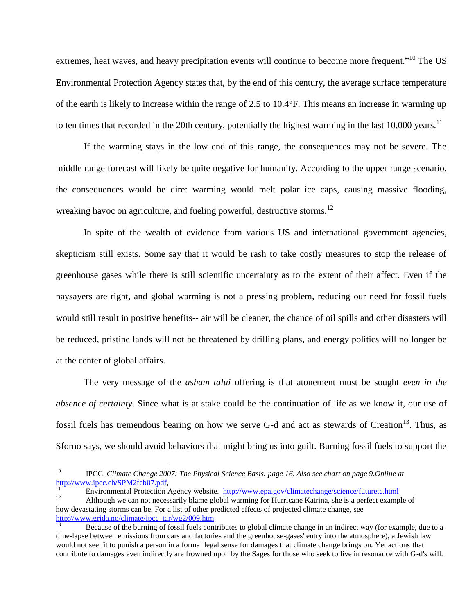extremes, heat waves, and heavy precipitation events will continue to become more frequent."<sup>10</sup> The US Environmental Protection Agency states that, by the end of this century, the average surface temperature of the earth is likely to increase within the range of 2.5 to 10.4°F. This means an increase in warming up to ten times that recorded in the 20th century, potentially the highest warming in the last 10,000 years.<sup>11</sup>

If the warming stays in the low end of this range, the consequences may not be severe. The middle range forecast will likely be quite negative for humanity. According to the upper range scenario, the consequences would be dire: warming would melt polar ice caps, causing massive flooding, wreaking havoc on agriculture, and fueling powerful, destructive storms.<sup>12</sup>

In spite of the wealth of evidence from various US and international government agencies, skepticism still exists. Some say that it would be rash to take costly measures to stop the release of greenhouse gases while there is still scientific uncertainty as to the extent of their affect. Even if the naysayers are right, and global warming is not a pressing problem, reducing our need for fossil fuels would still result in positive benefits-- air will be cleaner, the chance of oil spills and other disasters will be reduced, pristine lands will not be threatened by drilling plans, and energy politics will no longer be at the center of global affairs.

The very message of the *asham talui* offering is that atonement must be sought *even in the absence of certainty*. Since what is at stake could be the continuation of life as we know it, our use of fossil fuels has tremendous bearing on how we serve G-d and act as stewards of Creation<sup>13</sup>. Thus, as Sforno says, we should avoid behaviors that might bring us into guilt. Burning fossil fuels to support the

<sup>11</sup> Environmental Protection Agency website. <http://www.epa.gov/climatechange/science/futuretc.html>

<sup>10</sup> <sup>10</sup> IPCC. *Climate Change 2007: The Physical Science Basis. page 16. Also see chart on page 9.Online at*  [http://www.ipcc.ch/SPM2feb07.pdf,](http://www.ipcc.ch/SPM2feb07.pdf)

<sup>12</sup> Although we can not necessarily blame global warming for Hurricane Katrina, she is a perfect example of how devastating storms can be. For a list of other predicted effects of projected climate change, se[e](http://www.grida.no/climate/ipcc_tar/wg2/009.htm)  [http://www.grida.no/climate/ipcc\\_tar/wg2/009.htm](http://www.grida.no/climate/ipcc_tar/wg2/009.htm)

<sup>13</sup> Because of the burning of fossil fuels contributes to global climate change in an indirect way (for example, due to a time-lapse between emissions from cars and factories and the greenhouse-gases' entry into the atmosphere), a Jewish law would not see fit to punish a person in a formal legal sense for damages that climate change brings on. Yet actions that contribute to damages even indirectly are frowned upon by the Sages for those who seek to live in resonance with G-d's will.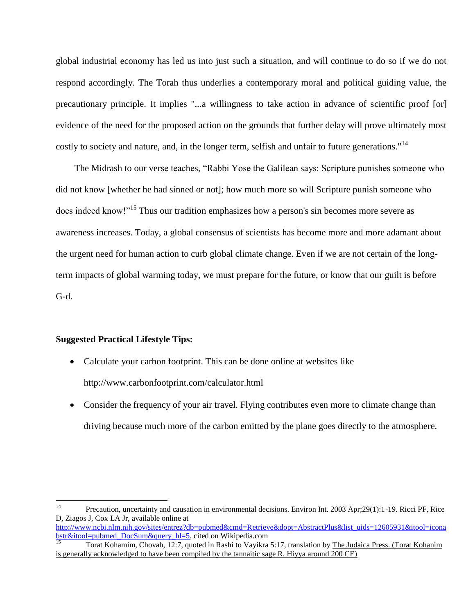global industrial economy has led us into just such a situation, and will continue to do so if we do not respond accordingly. The Torah thus underlies a contemporary moral and political guiding value, the precautionary principle. It implies "...a willingness to take action in advance of scientific proof [or] evidence of the need for the proposed action on the grounds that further delay will prove ultimately most costly to society and nature, and, in the longer term, selfish and unfair to future generations."<sup>14</sup>

 The Midrash to our verse teaches, "Rabbi Yose the Galilean says: Scripture punishes someone who did not know [whether he had sinned or not]; how much more so will Scripture punish someone who does indeed know!"<sup>15</sup> Thus our tradition emphasizes how a person's sin becomes more severe as awareness increases. Today, a global consensus of scientists has become more and more adamant about the urgent need for human action to curb global climate change. Even if we are not certain of the longterm impacts of global warming today, we must prepare for the future, or know that our guilt is before G-d.

## **Suggested Practical Lifestyle Tips:**

- Calculate your carbon footprint. This can be done online at websites like http://www.carbonfootprint.com/calculator.html
- Consider the frequency of your air travel. Flying contributes even more to climate change than driving because much more of the carbon emitted by the plane goes directly to the atmosphere.

[http://www.ncbi.nlm.nih.gov/sites/entrez?db=pubmed&cmd=Retrieve&dopt=AbstractPlus&list\\_uids=12605931&itool=icona](http://www.ncbi.nlm.nih.gov/sites/entrez?db=pubmed&cmd=Retrieve&dopt=AbstractPlus&list_uids=12605931&itool=iconabstr&itool=pubmed_DocSum&query_hl=5) [bstr&itool=pubmed\\_DocSum&query\\_hl=5,](http://www.ncbi.nlm.nih.gov/sites/entrez?db=pubmed&cmd=Retrieve&dopt=AbstractPlus&list_uids=12605931&itool=iconabstr&itool=pubmed_DocSum&query_hl=5) cited on Wikipedia.com

 $14$ <sup>14</sup> Precaution, uncertainty and causation in environmental decisions. Environ Int. 2003 Apr;29(1):1-19. Ricci PF, Rice D, Ziagos J, Cox LA Jr, available online at

Torat Kohamim, Chovah, 12:7, quoted in Rashi to Vayikra 5:17, translation by The Judaica Press. (Torat Kohanim is generally acknowledged to have been compiled by the tannaitic sage R. Hiyya around 200 CE)